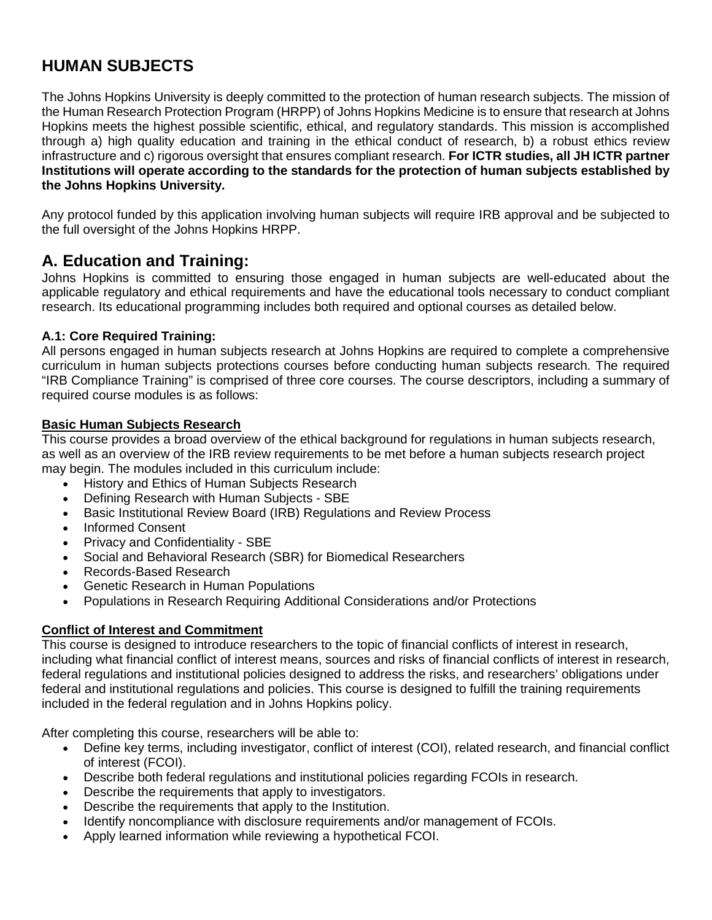# **HUMAN SUBJECTS**

The Johns Hopkins University is deeply committed to the protection of human research subjects. The mission of the Human Research Protection Program (HRPP) of Johns Hopkins Medicine is to ensure that research at Johns Hopkins meets the highest possible scientific, ethical, and regulatory standards. This mission is accomplished through a) high quality education and training in the ethical conduct of research, b) a robust ethics review infrastructure and c) rigorous oversight that ensures compliant research. **For ICTR studies, all JH ICTR partner Institutions will operate according to the standards for the protection of human subjects established by the Johns Hopkins University.**

Any protocol funded by this application involving human subjects will require IRB approval and be subjected to the full oversight of the Johns Hopkins HRPP.

## **A. Education and Training:**

Johns Hopkins is committed to ensuring those engaged in human subjects are well-educated about the applicable regulatory and ethical requirements and have the educational tools necessary to conduct compliant research. Its educational programming includes both required and optional courses as detailed below.

#### **A.1: Core Required Training:**

All persons engaged in human subjects research at Johns Hopkins are required to complete a comprehensive curriculum in human subjects protections courses before conducting human subjects research. The required "IRB Compliance Training" is comprised of three core courses. The course descriptors, including a summary of required course modules is as follows:

#### **Basic Human Subjects Research**

This course provides a broad overview of the ethical background for regulations in human subjects research, as well as an overview of the IRB review requirements to be met before a human subjects research project may begin. The modules included in this curriculum include:

- History and Ethics of Human Subjects Research
- Defining Research with Human Subjects SBE
- Basic Institutional Review Board (IRB) Regulations and Review Process
- Informed Consent
- Privacy and Confidentiality SBE
- Social and Behavioral Research (SBR) for Biomedical Researchers
- Records-Based Research
- Genetic Research in Human Populations
- Populations in Research Requiring Additional Considerations and/or Protections

## **Conflict of Interest and Commitment**

This course is designed to introduce researchers to the topic of financial conflicts of interest in research, including what financial conflict of interest means, sources and risks of financial conflicts of interest in research, federal regulations and institutional policies designed to address the risks, and researchers' obligations under federal and institutional regulations and policies. This course is designed to fulfill the training requirements included in the federal regulation and in Johns Hopkins policy.

After completing this course, researchers will be able to:

- Define key terms, including investigator, conflict of interest (COI), related research, and financial conflict of interest (FCOI).
- Describe both federal regulations and institutional policies regarding FCOIs in research.
- Describe the requirements that apply to investigators.
- Describe the requirements that apply to the Institution.
- Identify noncompliance with disclosure requirements and/or management of FCOIs.
- Apply learned information while reviewing a hypothetical FCOI.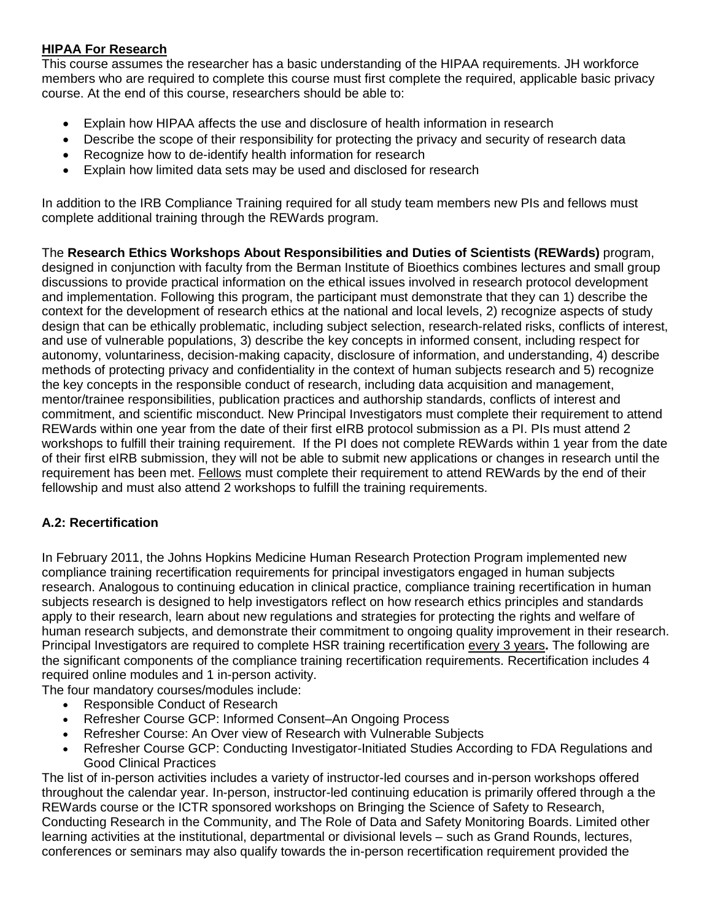#### **HIPAA For Research**

This course assumes the researcher has a basic understanding of the HIPAA requirements. JH workforce members who are required to complete this course must first complete the required, applicable basic privacy course. At the end of this course, researchers should be able to:

- Explain how HIPAA affects the use and disclosure of health information in research
- Describe the scope of their responsibility for protecting the privacy and security of research data
- Recognize how to de-identify health information for research
- Explain how limited data sets may be used and disclosed for research

In addition to the IRB Compliance Training required for all study team members new PIs and fellows must complete additional training through the REWards program.

The **Research Ethics Workshops About Responsibilities and Duties of Scientists (REWards)** program, designed in conjunction with faculty from the Berman Institute of Bioethics combines lectures and small group discussions to provide practical information on the ethical issues involved in research protocol development and implementation. Following this program, the participant must demonstrate that they can 1) describe the context for the development of research ethics at the national and local levels, 2) recognize aspects of study design that can be ethically problematic, including subject selection, research-related risks, conflicts of interest, and use of vulnerable populations, 3) describe the key concepts in informed consent, including respect for autonomy, voluntariness, decision-making capacity, disclosure of information, and understanding, 4) describe methods of protecting privacy and confidentiality in the context of human subjects research and 5) recognize the key concepts in the responsible conduct of research, including data acquisition and management, mentor/trainee responsibilities, publication practices and authorship standards, conflicts of interest and commitment, and scientific misconduct. New Principal Investigators must complete their requirement to attend REWards within one year from the date of their first eIRB protocol submission as a PI. PIs must attend 2 workshops to fulfill their training requirement. If the PI does not complete REWards within 1 year from the date of their first eIRB submission, they will not be able to submit new applications or changes in research until the requirement has been met. Fellows must complete their requirement to attend REWards by the end of their fellowship and must also attend 2 workshops to fulfill the training requirements.

## **A.2: Recertification**

In February 2011, the Johns Hopkins Medicine Human Research Protection Program implemented new compliance training recertification requirements for principal investigators engaged in human subjects research. Analogous to continuing education in clinical practice, compliance training recertification in human subjects research is designed to help investigators reflect on how research ethics principles and standards apply to their research, learn about new regulations and strategies for protecting the rights and welfare of human research subjects, and demonstrate their commitment to ongoing quality improvement in their research. Principal Investigators are required to complete HSR training recertification every 3 years**.** The following are the significant components of the compliance training recertification requirements. Recertification includes 4 required online modules and 1 in-person activity.

The four mandatory courses/modules include:

- Responsible Conduct of Research
- Refresher Course GCP: Informed Consent–An Ongoing Process
- Refresher Course: An Over view of Research with Vulnerable Subjects
- Refresher Course GCP: Conducting Investigator-Initiated Studies According to FDA Regulations and Good Clinical Practices

The list of in-person activities includes a variety of instructor-led courses and in-person workshops offered throughout the calendar year. In-person, instructor-led continuing education is primarily offered through a the REWards course or the ICTR sponsored workshops on Bringing the Science of Safety to Research, Conducting Research in the Community, and The Role of Data and Safety Monitoring Boards. Limited other learning activities at the institutional, departmental or divisional levels – such as Grand Rounds, lectures, conferences or seminars may also qualify towards the in-person recertification requirement provided the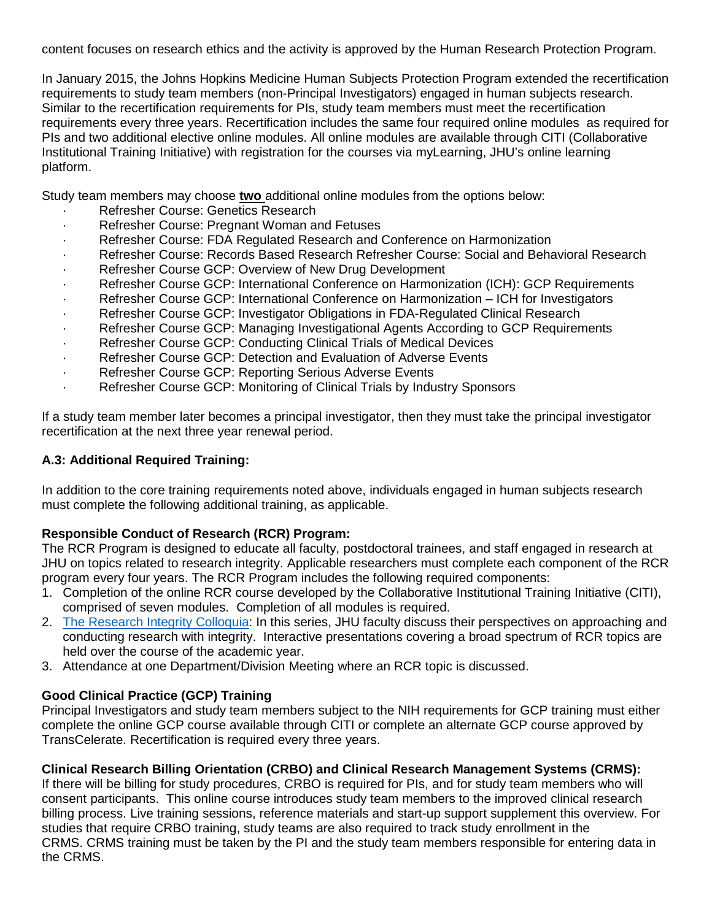content focuses on research ethics and the activity is approved by the Human Research Protection Program.

In January 2015, the Johns Hopkins Medicine Human Subjects Protection Program extended the recertification requirements to study team members (non-Principal Investigators) engaged in human subjects research. Similar to the recertification requirements for PIs, study team members must meet the recertification requirements every three years. Recertification includes the same four required online modules as required for PIs and two additional elective online modules. All online modules are available through CITI (Collaborative Institutional Training Initiative) with registration for the courses via myLearning, JHU's online learning platform.

Study team members may choose **two** additional online modules from the options below:

- Refresher Course: Genetics Research
- Refresher Course: Pregnant Woman and Fetuses
- Refresher Course: FDA Regulated Research and Conference on Harmonization
- · Refresher Course: Records Based Research Refresher Course: Social and Behavioral Research
- Refresher Course GCP: Overview of New Drug Development
- Refresher Course GCP: International Conference on Harmonization (ICH): GCP Requirements
- Refresher Course GCP: International Conference on Harmonization ICH for Investigators
- Refresher Course GCP: Investigator Obligations in FDA-Regulated Clinical Research
- Refresher Course GCP: Managing Investigational Agents According to GCP Requirements
- Refresher Course GCP: Conducting Clinical Trials of Medical Devices
- Refresher Course GCP: Detection and Evaluation of Adverse Events
- Refresher Course GCP: Reporting Serious Adverse Events
- Refresher Course GCP: Monitoring of Clinical Trials by Industry Sponsors

If a study team member later becomes a principal investigator, then they must take the principal investigator recertification at the next three year renewal period.

## **A.3: Additional Required Training:**

In addition to the core training requirements noted above, individuals engaged in human subjects research must complete the following additional training, as applicable.

## **Responsible Conduct of Research (RCR) Program:**

The RCR Program is designed to educate all faculty, postdoctoral trainees, and staff engaged in research at JHU on topics related to research integrity. Applicable researchers must complete each component of the RCR program every four years. The RCR Program includes the following required components:

- 1. Completion of the online RCR course developed by the Collaborative Institutional Training Initiative (CITI), comprised of seven modules. Completion of all modules is required.
- 2. [The Research Integrity Colloquia:](http://www.hopkinsmedicine.org/research/resources/offices-policies/OPC/Research_Integrity/research-integrity-colloquia-main.html) In this series, JHU faculty discuss their perspectives on approaching and conducting research with integrity. Interactive presentations covering a broad spectrum of RCR topics are held over the course of the academic year.
- 3. Attendance at one Department/Division Meeting where an RCR topic is discussed.

## **Good Clinical Practice (GCP) Training**

Principal Investigators and study team members subject to the NIH requirements for GCP training must either complete the online GCP course available through CITI or complete an alternate GCP course approved by TransCelerate. Recertification is required every three years.

## **Clinical Research Billing Orientation (CRBO) and Clinical Research Management Systems (CRMS):**

If there will be billing for study procedures, CRBO is required for PIs, and for study team members who will consent participants. This online course introduces study team members to the improved clinical research billing process. Live training sessions, reference materials and start-up support supplement this overview. For studies that require CRBO training, study teams are also required to track study enrollment in the CRMS. CRMS training must be taken by the PI and the study team members responsible for entering data in the CRMS.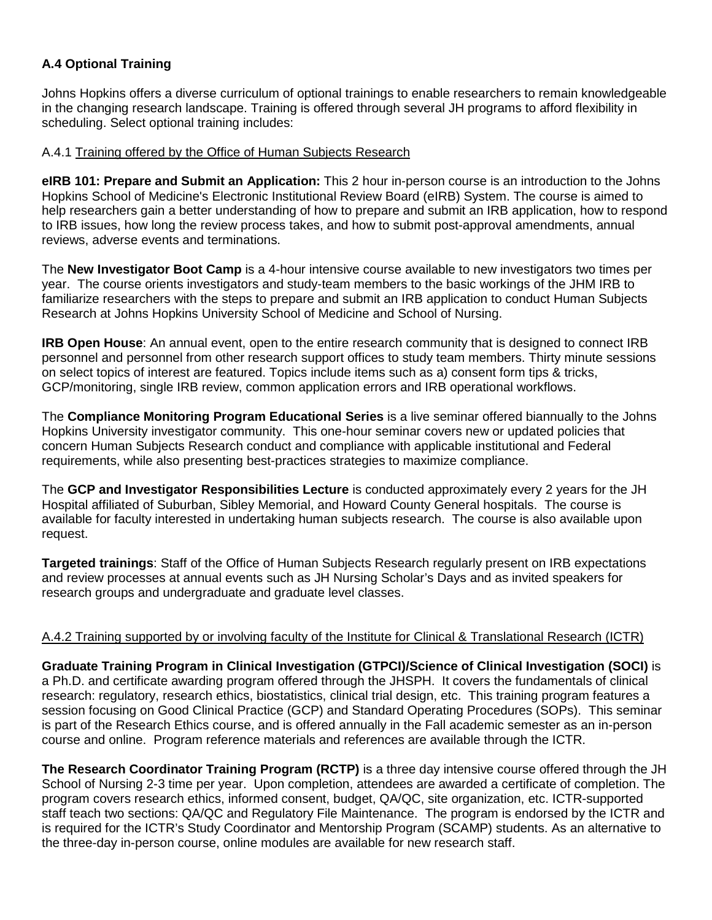## **A.4 Optional Training**

Johns Hopkins offers a diverse curriculum of optional trainings to enable researchers to remain knowledgeable in the changing research landscape. Training is offered through several JH programs to afford flexibility in scheduling. Select optional training includes:

#### A.4.1 Training offered by the Office of Human Subjects Research

**eIRB 101: Prepare and Submit an Application:** This 2 hour in-person course is an introduction to the Johns Hopkins School of Medicine's Electronic Institutional Review Board (eIRB) System. The course is aimed to help researchers gain a better understanding of how to prepare and submit an IRB application, how to respond to IRB issues, how long the review process takes, and how to submit post-approval amendments, annual reviews, adverse events and terminations.

The **New Investigator Boot Camp** is a 4-hour intensive course available to new investigators two times per year. The course orients investigators and study-team members to the basic workings of the JHM IRB to familiarize researchers with the steps to prepare and submit an IRB application to conduct Human Subjects Research at Johns Hopkins University School of Medicine and School of Nursing.

**IRB Open House**: An annual event, open to the entire research community that is designed to connect IRB personnel and personnel from other research support offices to study team members. Thirty minute sessions on select topics of interest are featured. Topics include items such as a) consent form tips & tricks, GCP/monitoring, single IRB review, common application errors and IRB operational workflows.

The **Compliance Monitoring Program Educational Series** is a live seminar offered biannually to the Johns Hopkins University investigator community. This one-hour seminar covers new or updated policies that concern Human Subjects Research conduct and compliance with applicable institutional and Federal requirements, while also presenting best-practices strategies to maximize compliance.

The **GCP and Investigator Responsibilities Lecture** is conducted approximately every 2 years for the JH Hospital affiliated of Suburban, Sibley Memorial, and Howard County General hospitals. The course is available for faculty interested in undertaking human subjects research. The course is also available upon request.

**Targeted trainings**: Staff of the Office of Human Subjects Research regularly present on IRB expectations and review processes at annual events such as JH Nursing Scholar's Days and as invited speakers for research groups and undergraduate and graduate level classes.

## A.4.2 Training supported by or involving faculty of the Institute for Clinical & Translational Research (ICTR)

**Graduate Training Program in Clinical Investigation (GTPCI)/Science of Clinical Investigation (SOCI)** is a Ph.D. and certificate awarding program offered through the JHSPH. It covers the fundamentals of clinical research: regulatory, research ethics, biostatistics, clinical trial design, etc. This training program features a session focusing on Good Clinical Practice (GCP) and Standard Operating Procedures (SOPs). This seminar is part of the Research Ethics course, and is offered annually in the Fall academic semester as an in-person course and online. Program reference materials and references are available through the ICTR.

**The Research Coordinator Training Program (RCTP)** is a three day intensive course offered through the JH School of Nursing 2-3 time per year. Upon completion, attendees are awarded a certificate of completion. The program covers research ethics, informed consent, budget, QA/QC, site organization, etc. ICTR-supported staff teach two sections: QA/QC and Regulatory File Maintenance. The program is endorsed by the ICTR and is required for the ICTR's Study Coordinator and Mentorship Program (SCAMP) students. As an alternative to the three-day in-person course, online modules are available for new research staff.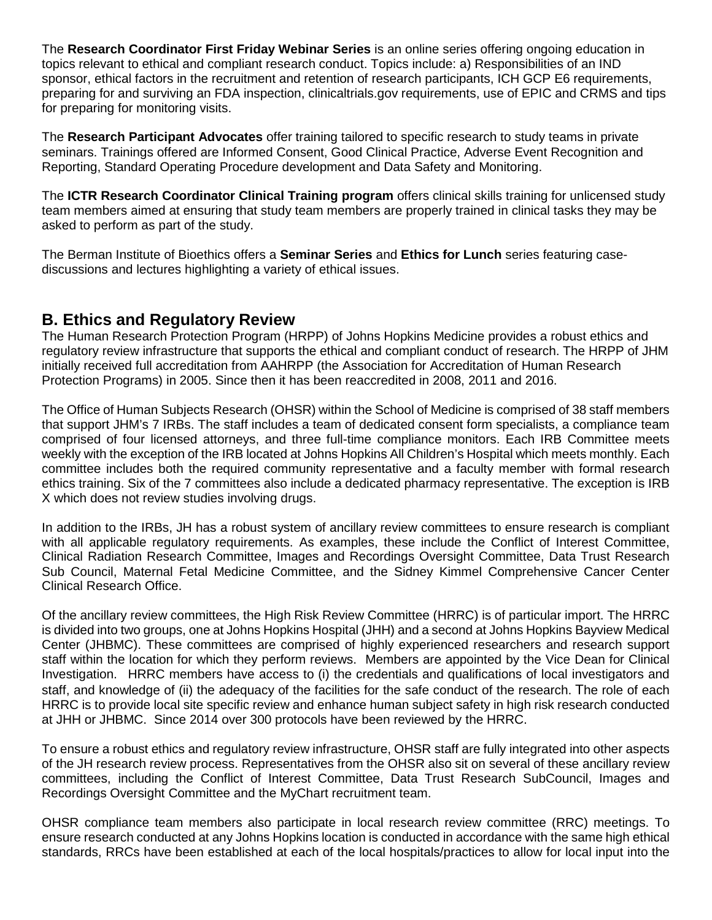The **Research Coordinator First Friday Webinar Series** is an online series offering ongoing education in topics relevant to ethical and compliant research conduct. Topics include: a) Responsibilities of an IND sponsor, ethical factors in the recruitment and retention of research participants, ICH GCP E6 requirements, preparing for and surviving an FDA inspection, clinicaltrials.gov requirements, use of EPIC and CRMS and tips for preparing for monitoring visits.

The **Research Participant Advocates** offer training tailored to specific research to study teams in private seminars. Trainings offered are Informed Consent, Good Clinical Practice, Adverse Event Recognition and Reporting, Standard Operating Procedure development and Data Safety and Monitoring.

The **ICTR Research Coordinator Clinical Training program** offers clinical skills training for unlicensed study team members aimed at ensuring that study team members are properly trained in clinical tasks they may be asked to perform as part of the study.

The Berman Institute of Bioethics offers a **Seminar Series** and **Ethics for Lunch** series featuring casediscussions and lectures highlighting a variety of ethical issues.

## **B. Ethics and Regulatory Review**

The Human Research Protection Program (HRPP) of Johns Hopkins Medicine provides a robust ethics and regulatory review infrastructure that supports the ethical and compliant conduct of research. The HRPP of JHM initially received full accreditation from AAHRPP (the Association for Accreditation of Human Research Protection Programs) in 2005. Since then it has been reaccredited in 2008, 2011 and 2016.

The Office of Human Subjects Research (OHSR) within the School of Medicine is comprised of 38 staff members that support JHM's 7 IRBs. The staff includes a team of dedicated consent form specialists, a compliance team comprised of four licensed attorneys, and three full-time compliance monitors. Each IRB Committee meets weekly with the exception of the IRB located at Johns Hopkins All Children's Hospital which meets monthly. Each committee includes both the required community representative and a faculty member with formal research ethics training. Six of the 7 committees also include a dedicated pharmacy representative. The exception is IRB X which does not review studies involving drugs.

In addition to the IRBs, JH has a robust system of ancillary review committees to ensure research is compliant with all applicable regulatory requirements. As examples, these include the Conflict of Interest Committee, Clinical Radiation Research Committee, Images and Recordings Oversight Committee, Data Trust Research Sub Council, Maternal Fetal Medicine Committee, and the Sidney Kimmel Comprehensive Cancer Center Clinical Research Office.

Of the ancillary review committees, the High Risk Review Committee (HRRC) is of particular import. The HRRC is divided into two groups, one at Johns Hopkins Hospital (JHH) and a second at Johns Hopkins Bayview Medical Center (JHBMC). These committees are comprised of highly experienced researchers and research support staff within the location for which they perform reviews. Members are appointed by the Vice Dean for Clinical Investigation. HRRC members have access to (i) the credentials and qualifications of local investigators and staff, and knowledge of (ii) the adequacy of the facilities for the safe conduct of the research. The role of each HRRC is to provide local site specific review and enhance human subject safety in high risk research conducted at JHH or JHBMC. Since 2014 over 300 protocols have been reviewed by the HRRC.

To ensure a robust ethics and regulatory review infrastructure, OHSR staff are fully integrated into other aspects of the JH research review process. Representatives from the OHSR also sit on several of these ancillary review committees, including the Conflict of Interest Committee, Data Trust Research SubCouncil, Images and Recordings Oversight Committee and the MyChart recruitment team.

OHSR compliance team members also participate in local research review committee (RRC) meetings. To ensure research conducted at any Johns Hopkins location is conducted in accordance with the same high ethical standards, RRCs have been established at each of the local hospitals/practices to allow for local input into the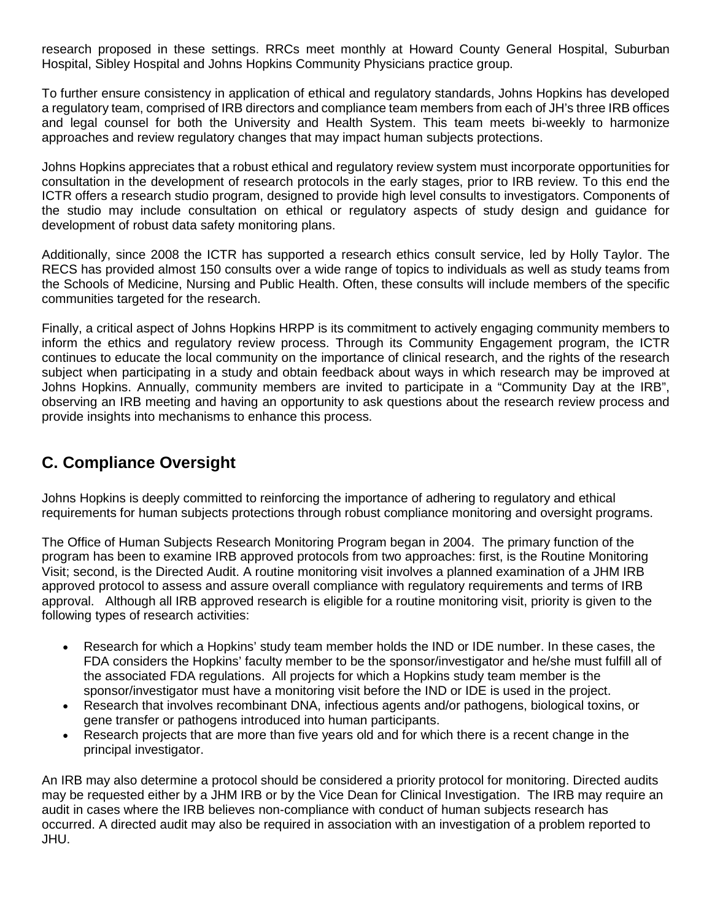research proposed in these settings. RRCs meet monthly at Howard County General Hospital, Suburban Hospital, Sibley Hospital and Johns Hopkins Community Physicians practice group.

To further ensure consistency in application of ethical and regulatory standards, Johns Hopkins has developed a regulatory team, comprised of IRB directors and compliance team members from each of JH's three IRB offices and legal counsel for both the University and Health System. This team meets bi-weekly to harmonize approaches and review regulatory changes that may impact human subjects protections.

Johns Hopkins appreciates that a robust ethical and regulatory review system must incorporate opportunities for consultation in the development of research protocols in the early stages, prior to IRB review. To this end the ICTR offers a research studio program, designed to provide high level consults to investigators. Components of the studio may include consultation on ethical or regulatory aspects of study design and guidance for development of robust data safety monitoring plans.

Additionally, since 2008 the ICTR has supported a research ethics consult service, led by Holly Taylor. The RECS has provided almost 150 consults over a wide range of topics to individuals as well as study teams from the Schools of Medicine, Nursing and Public Health. Often, these consults will include members of the specific communities targeted for the research.

Finally, a critical aspect of Johns Hopkins HRPP is its commitment to actively engaging community members to inform the ethics and regulatory review process. Through its Community Engagement program, the ICTR continues to educate the local community on the importance of clinical research, and the rights of the research subject when participating in a study and obtain feedback about ways in which research may be improved at Johns Hopkins. Annually, community members are invited to participate in a "Community Day at the IRB", observing an IRB meeting and having an opportunity to ask questions about the research review process and provide insights into mechanisms to enhance this process.

# **C. Compliance Oversight**

Johns Hopkins is deeply committed to reinforcing the importance of adhering to regulatory and ethical requirements for human subjects protections through robust compliance monitoring and oversight programs.

The Office of Human Subjects Research Monitoring Program began in 2004. The primary function of the program has been to examine IRB approved protocols from two approaches: first, is the Routine Monitoring Visit; second, is the Directed Audit. A routine monitoring visit involves a planned examination of a JHM IRB approved protocol to assess and assure overall compliance with regulatory requirements and terms of IRB approval. Although all IRB approved research is eligible for a routine monitoring visit, priority is given to the following types of research activities:

- Research for which a Hopkins' study team member holds the IND or IDE number. In these cases, the FDA considers the Hopkins' faculty member to be the sponsor/investigator and he/she must fulfill all of the associated FDA regulations. All projects for which a Hopkins study team member is the sponsor/investigator must have a monitoring visit before the IND or IDE is used in the project.
- Research that involves recombinant DNA, infectious agents and/or pathogens, biological toxins, or gene transfer or pathogens introduced into human participants.
- Research projects that are more than five years old and for which there is a recent change in the principal investigator.

An IRB may also determine a protocol should be considered a priority protocol for monitoring. Directed audits may be requested either by a JHM IRB or by the Vice Dean for Clinical Investigation. The IRB may require an audit in cases where the IRB believes non-compliance with conduct of human subjects research has occurred. A directed audit may also be required in association with an investigation of a problem reported to JHU.